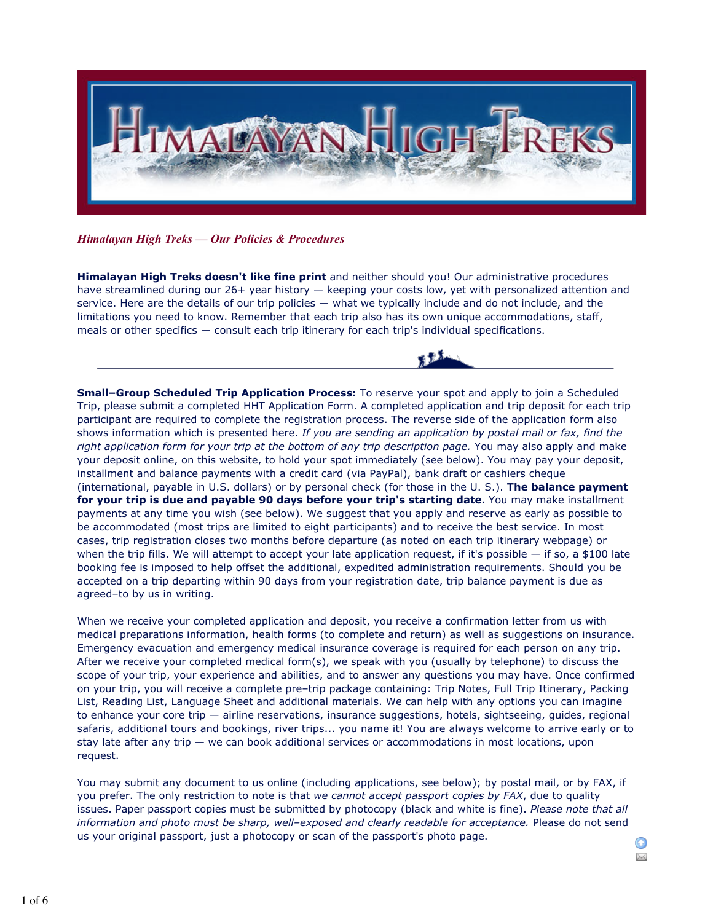

*Himalayan High Treks — Our Policies & Procedures*

**Himalayan High Treks doesn't like fine print** and neither should you! Our administrative procedures have streamlined during our 26+ year history — keeping your costs low, yet with personalized attention and service. Here are the details of our trip policies — what we typically include and do not include, and the limitations you need to know. Remember that each trip also has its own unique accommodations, staff, meals or other specifics — consult each trip itinerary for each trip's individual specifications.

**Small–Group Scheduled Trip Application Process:** To reserve your spot and apply to join a Scheduled Trip, please submit a completed HHT Application Form. A completed application and trip deposit for each trip participant are required to complete the registration process. The reverse side of the application form also shows information which is presented here. *If you are sending an application by postal mail or fax, find the right application form for your trip at the bottom of any trip description page.* You may also apply and make your deposit online, on this website, to hold your spot immediately (see below). You may pay your deposit, installment and balance payments with a credit card (via PayPal), bank draft or cashiers cheque (international, payable in U.S. dollars) or by personal check (for those in the U. S.). **The balance payment for your trip is due and payable 90 days before your trip's starting date.** You may make installment payments at any time you wish (see below). We suggest that you apply and reserve as early as possible to be accommodated (most trips are limited to eight participants) and to receive the best service. In most cases, trip registration closes two months before departure (as noted on each trip itinerary webpage) or when the trip fills. We will attempt to accept your late application request, if it's possible  $-$  if so, a \$100 late booking fee is imposed to help offset the additional, expedited administration requirements. Should you be accepted on a trip departing within 90 days from your registration date, trip balance payment is due as agreed–to by us in writing.

When we receive your completed application and deposit, you receive a confirmation letter from us with medical preparations information, health forms (to complete and return) as well as suggestions on insurance. Emergency evacuation and emergency medical insurance coverage is required for each person on any trip. After we receive your completed medical form(s), we speak with you (usually by telephone) to discuss the scope of your trip, your experience and abilities, and to answer any questions you may have. Once confirmed on your trip, you will receive a complete pre–trip package containing: Trip Notes, Full Trip Itinerary, Packing List, Reading List, Language Sheet and additional materials. We can help with any options you can imagine to enhance your core trip — airline reservations, insurance suggestions, hotels, sightseeing, guides, regional safaris, additional tours and bookings, river trips... you name it! You are always welcome to arrive early or to stay late after any trip — we can book additional services or accommodations in most locations, upon request.

You may submit any document to us online (including applications, see below); by postal mail, or by FAX, if you prefer. The only restriction to note is that *we cannot accept passport copies by FAX*, due to quality issues. Paper passport copies must be submitted by photocopy (black and white is fine). *Please note that all information and photo must be sharp, well–exposed and clearly readable for acceptance.* Please do not send us your original passport, just a photocopy or scan of the passport's photo page.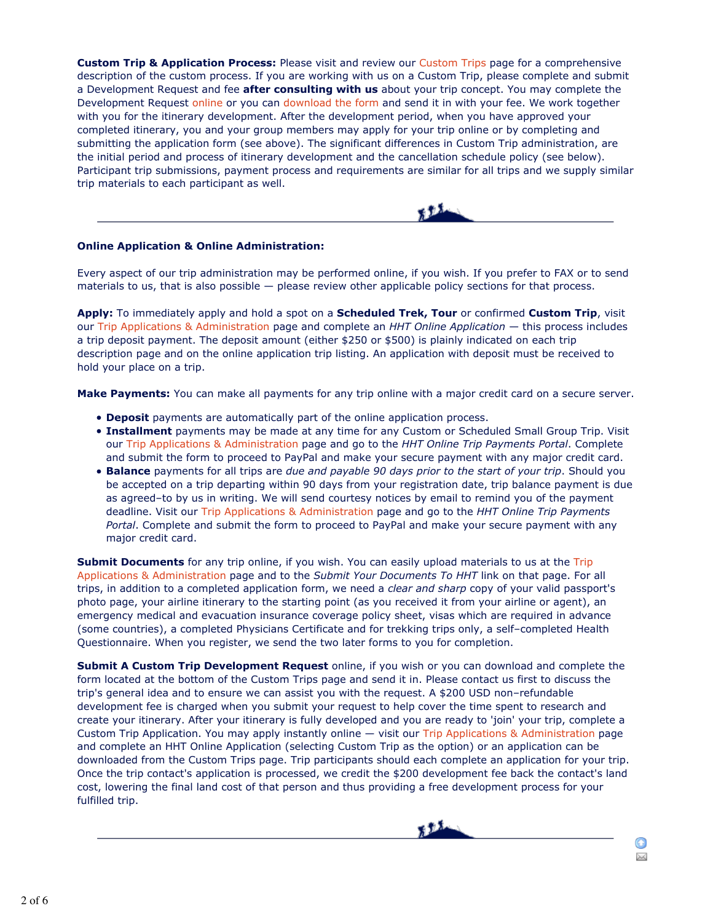**Custom Trip & Application Process:** Please visit and review our Custom Trips page for a comprehensive description of the custom process. If you are working with us on a Custom Trip, please complete and submit a Development Request and fee **after consulting with us** about your trip concept. You may complete the Development Request online or you can download the form and send it in with your fee. We work together with you for the itinerary development. After the development period, when you have approved your completed itinerary, you and your group members may apply for your trip online or by completing and submitting the application form (see above). The significant differences in Custom Trip administration, are the initial period and process of itinerary development and the cancellation schedule policy (see below). Participant trip submissions, payment process and requirements are similar for all trips and we supply similar trip materials to each participant as well.

## **Online Application & Online Administration:**

Every aspect of our trip administration may be performed online, if you wish. If you prefer to FAX or to send materials to us, that is also possible — please review other applicable policy sections for that process.

**Apply:** To immediately apply and hold a spot on a **Scheduled Trek, Tour** or confirmed **Custom Trip**, visit our Trip Applications & Administration page and complete an *HHT Online Application* — this process includes a trip deposit payment. The deposit amount (either \$250 or \$500) is plainly indicated on each trip description page and on the online application trip listing. An application with deposit must be received to hold your place on a trip.

**Make Payments:** You can make all payments for any trip online with a major credit card on a secure server.

- **Deposit** payments are automatically part of the online application process.
- **Installment** payments may be made at any time for any Custom or Scheduled Small Group Trip. Visit our Trip Applications & Administration page and go to the *HHT Online Trip Payments Portal*. Complete and submit the form to proceed to PayPal and make your secure payment with any major credit card.
- **Balance** payments for all trips are *due and payable 90 days prior to the start of your trip*. Should you be accepted on a trip departing within 90 days from your registration date, trip balance payment is due as agreed–to by us in writing. We will send courtesy notices by email to remind you of the payment deadline. Visit our Trip Applications & Administration page and go to the *HHT Online Trip Payments Portal*. Complete and submit the form to proceed to PayPal and make your secure payment with any major credit card.

**Submit Documents** for any trip online, if you wish. You can easily upload materials to us at the Trip Applications & Administration page and to the *Submit Your Documents To HHT* link on that page. For all trips, in addition to a completed application form, we need a *clear and sharp* copy of your valid passport's photo page, your airline itinerary to the starting point (as you received it from your airline or agent), an emergency medical and evacuation insurance coverage policy sheet, visas which are required in advance (some countries), a completed Physicians Certificate and for trekking trips only, a self–completed Health Questionnaire. When you register, we send the two later forms to you for completion.

**Submit A Custom Trip Development Request** online, if you wish or you can download and complete the form located at the bottom of the Custom Trips page and send it in. Please contact us first to discuss the trip's general idea and to ensure we can assist you with the request. A \$200 USD non–refundable development fee is charged when you submit your request to help cover the time spent to research and create your itinerary. After your itinerary is fully developed and you are ready to 'join' your trip, complete a Custom Trip Application. You may apply instantly online — visit our Trip Applications & Administration page and complete an HHT Online Application (selecting Custom Trip as the option) or an application can be downloaded from the Custom Trips page. Trip participants should each complete an application for your trip. Once the trip contact's application is processed, we credit the \$200 development fee back the contact's land cost, lowering the final land cost of that person and thus providing a free development process for your fulfilled trip.

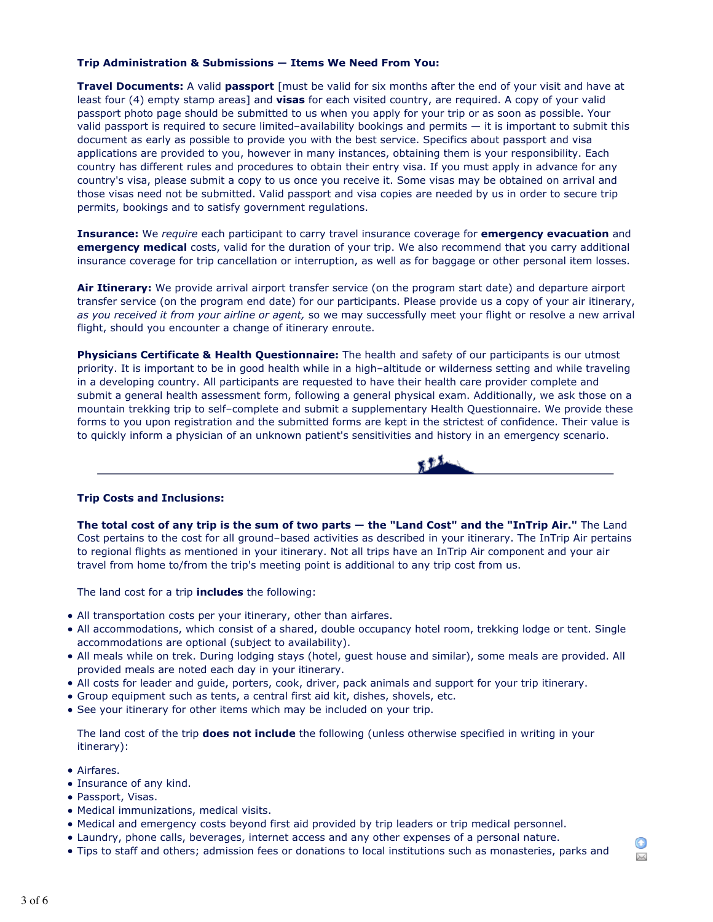## **Trip Administration & Submissions — Items We Need From You:**

**Travel Documents:** A valid **passport** [must be valid for six months after the end of your visit and have at least four (4) empty stamp areas] and **visas** for each visited country, are required. A copy of your valid passport photo page should be submitted to us when you apply for your trip or as soon as possible. Your valid passport is required to secure limited–availability bookings and permits — it is important to submit this document as early as possible to provide you with the best service. Specifics about passport and visa applications are provided to you, however in many instances, obtaining them is your responsibility. Each country has different rules and procedures to obtain their entry visa. If you must apply in advance for any country's visa, please submit a copy to us once you receive it. Some visas may be obtained on arrival and those visas need not be submitted. Valid passport and visa copies are needed by us in order to secure trip permits, bookings and to satisfy government regulations.

**Insurance:** We *require* each participant to carry travel insurance coverage for **emergency evacuation** and **emergency medical** costs, valid for the duration of your trip. We also recommend that you carry additional insurance coverage for trip cancellation or interruption, as well as for baggage or other personal item losses.

**Air Itinerary:** We provide arrival airport transfer service (on the program start date) and departure airport transfer service (on the program end date) for our participants. Please provide us a copy of your air itinerary, *as you received it from your airline or agent,* so we may successfully meet your flight or resolve a new arrival flight, should you encounter a change of itinerary enroute.

**Physicians Certificate & Health Questionnaire:** The health and safety of our participants is our utmost priority. It is important to be in good health while in a high–altitude or wilderness setting and while traveling in a developing country. All participants are requested to have their health care provider complete and submit a general health assessment form, following a general physical exam. Additionally, we ask those on a mountain trekking trip to self–complete and submit a supplementary Health Questionnaire. We provide these forms to you upon registration and the submitted forms are kept in the strictest of confidence. Their value is to quickly inform a physician of an unknown patient's sensitivities and history in an emergency scenario.



## **Trip Costs and Inclusions:**

**The total cost of any trip is the sum of two parts — the "Land Cost" and the "InTrip Air."** The Land Cost pertains to the cost for all ground–based activities as described in your itinerary. The InTrip Air pertains to regional flights as mentioned in your itinerary. Not all trips have an InTrip Air component and your air travel from home to/from the trip's meeting point is additional to any trip cost from us.

The land cost for a trip **includes** the following:

- All transportation costs per your itinerary, other than airfares.
- All accommodations, which consist of a shared, double occupancy hotel room, trekking lodge or tent. Single accommodations are optional (subject to availability).
- All meals while on trek. During lodging stays (hotel, guest house and similar), some meals are provided. All provided meals are noted each day in your itinerary.
- All costs for leader and guide, porters, cook, driver, pack animals and support for your trip itinerary.
- Group equipment such as tents, a central first aid kit, dishes, shovels, etc.
- See your itinerary for other items which may be included on your trip.

The land cost of the trip **does not include** the following (unless otherwise specified in writing in your itinerary):

- Airfares.
- Insurance of any kind.
- Passport, Visas.
- Medical immunizations, medical visits.
- Medical and emergency costs beyond first aid provided by trip leaders or trip medical personnel.
- Laundry, phone calls, beverages, internet access and any other expenses of a personal nature.
- Tips to staff and others; admission fees or donations to local institutions such as monasteries, parks and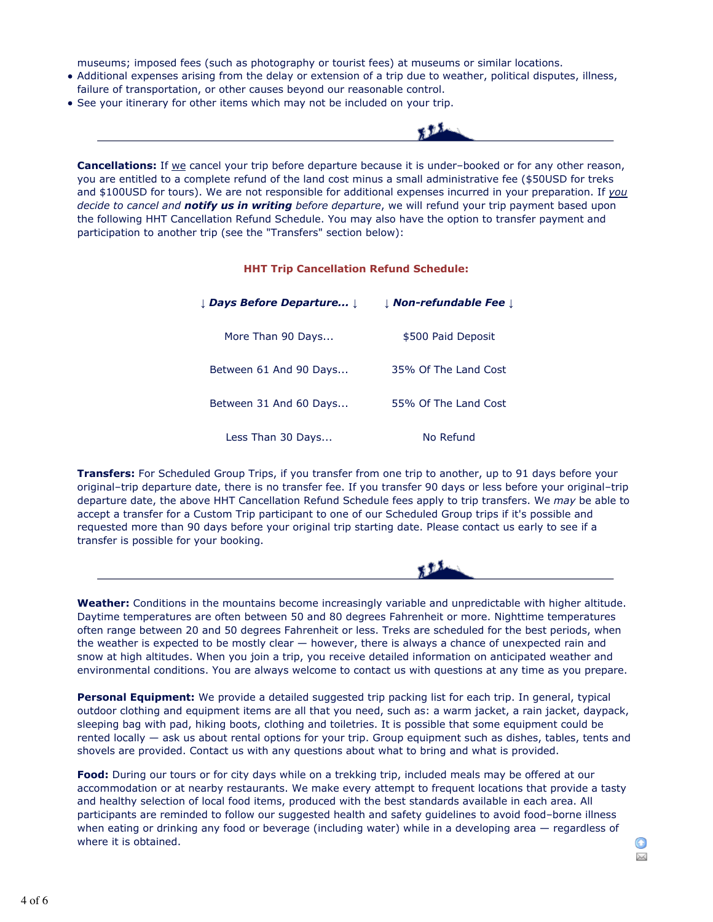museums; imposed fees (such as photography or tourist fees) at museums or similar locations.

- Additional expenses arising from the delay or extension of a trip due to weather, political disputes, illness, failure of transportation, or other causes beyond our reasonable control.
- See your itinerary for other items which may not be included on your trip.



**Cancellations:** If we cancel your trip before departure because it is under–booked or for any other reason, you are entitled to a complete refund of the land cost minus a small administrative fee (\$50USD for treks and \$100USD for tours). We are not responsible for additional expenses incurred in your preparation. If *you decide to cancel and notify us in writing before departure*, we will refund your trip payment based upon the following HHT Cancellation Refund Schedule. You may also have the option to transfer payment and participation to another trip (see the "Transfers" section below):

## **HHT Trip Cancellation Refund Schedule:**

| <b>L Days Before Departure L</b> | <b>J Non-refundable Fee J</b> |
|----------------------------------|-------------------------------|
| More Than 90 Days                | \$500 Paid Deposit            |
| Between 61 And 90 Days           | 35% Of The Land Cost          |
| Between 31 And 60 Days           | 55% Of The Land Cost          |
| Less Than 30 Days                | No Refund                     |

**Transfers:** For Scheduled Group Trips, if you transfer from one trip to another, up to 91 days before your original–trip departure date, there is no transfer fee. If you transfer 90 days or less before your original–trip departure date, the above HHT Cancellation Refund Schedule fees apply to trip transfers. We *may* be able to accept a transfer for a Custom Trip participant to one of our Scheduled Group trips if it's possible and requested more than 90 days before your original trip starting date. Please contact us early to see if a transfer is possible for your booking.



**Weather:** Conditions in the mountains become increasingly variable and unpredictable with higher altitude. Daytime temperatures are often between 50 and 80 degrees Fahrenheit or more. Nighttime temperatures often range between 20 and 50 degrees Fahrenheit or less. Treks are scheduled for the best periods, when the weather is expected to be mostly clear — however, there is always a chance of unexpected rain and snow at high altitudes. When you join a trip, you receive detailed information on anticipated weather and environmental conditions. You are always welcome to contact us with questions at any time as you prepare.

**Personal Equipment:** We provide a detailed suggested trip packing list for each trip. In general, typical outdoor clothing and equipment items are all that you need, such as: a warm jacket, a rain jacket, daypack, sleeping bag with pad, hiking boots, clothing and toiletries. It is possible that some equipment could be rented locally — ask us about rental options for your trip. Group equipment such as dishes, tables, tents and shovels are provided. Contact us with any questions about what to bring and what is provided.

**Food:** During our tours or for city days while on a trekking trip, included meals may be offered at our accommodation or at nearby restaurants. We make every attempt to frequent locations that provide a tasty and healthy selection of local food items, produced with the best standards available in each area. All participants are reminded to follow our suggested health and safety guidelines to avoid food–borne illness when eating or drinking any food or beverage (including water) while in a developing area — regardless of where it is obtained.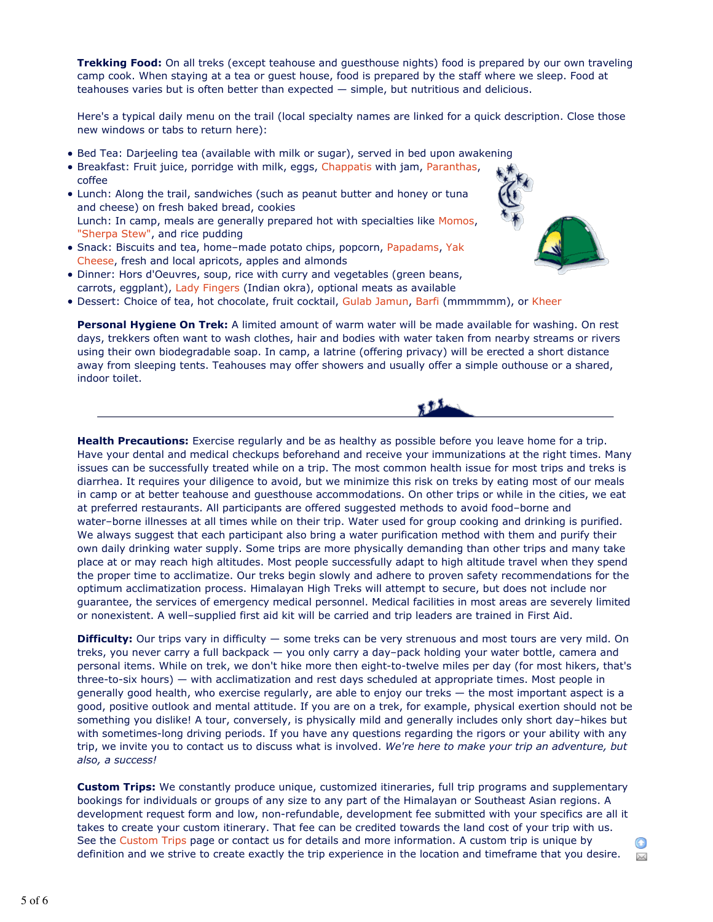**Trekking Food:** On all treks (except teahouse and guesthouse nights) food is prepared by our own traveling camp cook. When staying at a tea or guest house, food is prepared by the staff where we sleep. Food at teahouses varies but is often better than expected — simple, but nutritious and delicious.

Here's a typical daily menu on the trail (local specialty names are linked for a quick description. Close those new windows or tabs to return here):

- Bed Tea: Darjeeling tea (available with milk or sugar), served in bed upon awakening
- **Breakfast: Fruit juice, porridge with milk, eggs, Chappatis with jam, Paranthas,**
- coffee Lunch: Along the trail, sandwiches (such as peanut butter and honey or tuna and cheese) on fresh baked bread, cookies Lunch: In camp, meals are generally prepared hot with specialties like Momos, "Sherpa Stew", and rice pudding
- Snack: Biscuits and tea, home-made potato chips, popcorn, Papadams, Yak Cheese, fresh and local apricots, apples and almonds
- Dinner: Hors d'Oeuvres, soup, rice with curry and vegetables (green beans, carrots, eggplant), Lady Fingers (Indian okra), optional meats as available
- . Dessert: Choice of tea, hot chocolate, fruit cocktail, Gulab Jamun, Barfi (mmmmmm), or Kheer

**Personal Hygiene On Trek:** A limited amount of warm water will be made available for washing. On rest days, trekkers often want to wash clothes, hair and bodies with water taken from nearby streams or rivers using their own biodegradable soap. In camp, a latrine (offering privacy) will be erected a short distance away from sleeping tents. Teahouses may offer showers and usually offer a simple outhouse or a shared, indoor toilet.



 $\bowtie$ 

**Health Precautions:** Exercise regularly and be as healthy as possible before you leave home for a trip. Have your dental and medical checkups beforehand and receive your immunizations at the right times. Many issues can be successfully treated while on a trip. The most common health issue for most trips and treks is diarrhea. It requires your diligence to avoid, but we minimize this risk on treks by eating most of our meals in camp or at better teahouse and guesthouse accommodations. On other trips or while in the cities, we eat at preferred restaurants. All participants are offered suggested methods to avoid food–borne and water–borne illnesses at all times while on their trip. Water used for group cooking and drinking is purified. We always suggest that each participant also bring a water purification method with them and purify their own daily drinking water supply. Some trips are more physically demanding than other trips and many take place at or may reach high altitudes. Most people successfully adapt to high altitude travel when they spend the proper time to acclimatize. Our treks begin slowly and adhere to proven safety recommendations for the optimum acclimatization process. Himalayan High Treks will attempt to secure, but does not include nor guarantee, the services of emergency medical personnel. Medical facilities in most areas are severely limited or nonexistent. A well–supplied first aid kit will be carried and trip leaders are trained in First Aid.

**Difficulty:** Our trips vary in difficulty — some treks can be very strenuous and most tours are very mild. On treks, you never carry a full backpack — you only carry a day–pack holding your water bottle, camera and personal items. While on trek, we don't hike more then eight-to-twelve miles per day (for most hikers, that's three-to-six hours) — with acclimatization and rest days scheduled at appropriate times. Most people in generally good health, who exercise regularly, are able to enjoy our treks — the most important aspect is a good, positive outlook and mental attitude. If you are on a trek, for example, physical exertion should not be something you dislike! A tour, conversely, is physically mild and generally includes only short day–hikes but with sometimes-long driving periods. If you have any questions regarding the rigors or your ability with any trip, we invite you to contact us to discuss what is involved. *We're here to make your trip an adventure, but also, a success!*

**Custom Trips:** We constantly produce unique, customized itineraries, full trip programs and supplementary bookings for individuals or groups of any size to any part of the Himalayan or Southeast Asian regions. A development request form and low, non-refundable, development fee submitted with your specifics are all it takes to create your custom itinerary. That fee can be credited towards the land cost of your trip with us. See the Custom Trips page or contact us for details and more information. A custom trip is unique by definition and we strive to create exactly the trip experience in the location and timeframe that you desire.

5 of 6